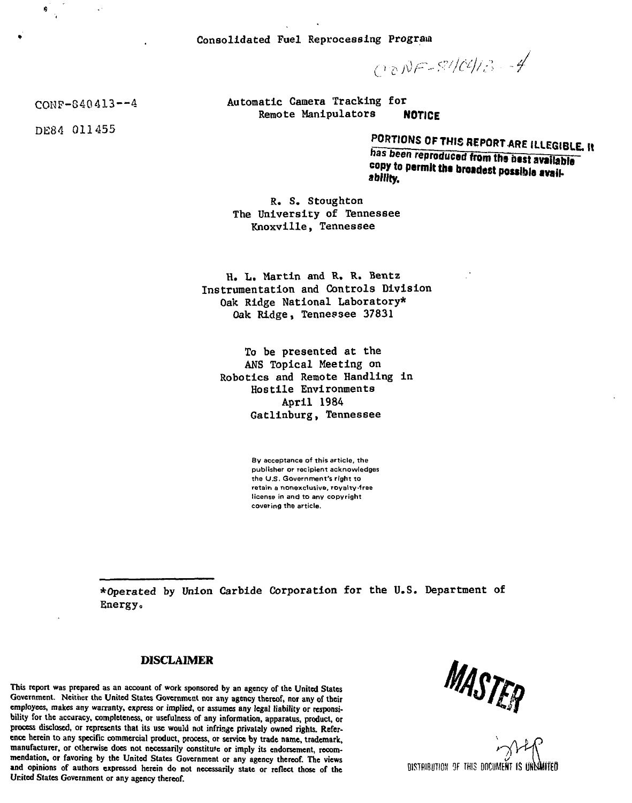Consolidated Fuel Reprocessing Program

 $C_0NF-87/C4/3-4$ 

Automatic Camera Tracking for Remote Manipulators NOTICE

**PORTIONS OF THIS REPORT ARE** ILLEGIBLE **It**

has been **reproduced from ths best available copy to permit the broadest possible availability.**

R. S. Stoughton The University of Tennessee Knoxville, Tennessee

H. L. Martin and R. R. Bentz Instrumentation and Controls Division Oak Ridge National Laboratory\* Oak Ridge, Tennessee 37831

To be presented at the ANS Topical Meeting on Robotics and Remote Handling in Hostile Environments April 1984 Gatlinburg, Tennessee

> **By acceptance of this article, the publisher or recipient acknowledges the U.S. Government's right to retain a nonexclusive, royalty-free license in and to any copyright covering the article.**

•Operated by Union Carbide Corporation for the U.S. Department of Energy,

## **DISCLAIMER**

**This report was prepared as an account of work sponsored by an agency of the United States Government. Neither the United States Government nor any agency thereof, nor any of their employees, makes any warranty, express or implied, or assumes any legal liability or responsibility for the accuracy, completeness, or usefulness of any information, apparatus, product, or process disclosed, or represents that its use would not infringe privately owned rights. Reference herein to any specific commercial product, process, or service by trade name, trademark, manufacturer, or otherwise does not necessarily constitufc or imply its endorsement, recommendation, or favoring by the United States Government or any agency thereof. The views and opinions of authors expressed herein do not necessarily state or reflect those of the United Slates Government or any agency thereof.**

MASTER

**DISTRIBUTION OF THIS DOCUMENT IS**

COKP-840413—4

DE84 011455

ė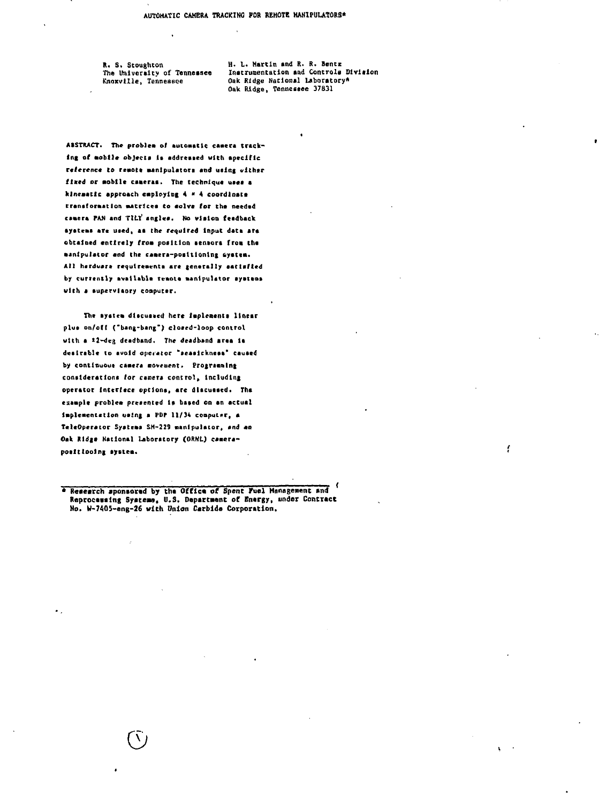R. S. Stoughton The University of Tennessee Knoxville, Tennessee

H. L. Martin and R. R. Bentz Instrumentation and Controls Division Oak Ridge National Laboratory\* Oak Ridge, Tennessee 37831

f

ABSTRACT. The problem of automatic camera tracking of mobile objects is addressed with apecific reference to remote manipulators and using either fixed or mobile caneras. The technique uses a kinematic approach employing 4 \* 4 coordinate transformation matrices to solve for the needed camera PAN and TILI' angles. No vision feedback systems are used, as the required input data are obtained entirely from position sensors from the manipulator and the camera-positioning system. All herdware requirements are generally eatisfied by currently available renote manipulator systems with a supervisory computer.

The system discussed here implements linear plus on/off ("bang-bang") closed-loop control with a 12-deg deadband. The deadband area is destrable to avoid operator "seasickness" caused by continuous camera movement. Programming considerations for camera control, including operator interface options, are discussed. The example problem presented is based on an actual implementation using a PDP 11/34 computer, a TeleOperator Systems SM-229 manipulator, and an Oak Ridge National Laboratory (ORNL) camerapositioning system.

٠.

Research sponsored by the Office of Spent Fuel Management and Reprocessing Systems, U.S. Department of Energy, under Contract No. W-7405-eng-26 with Union Carbide Corporation.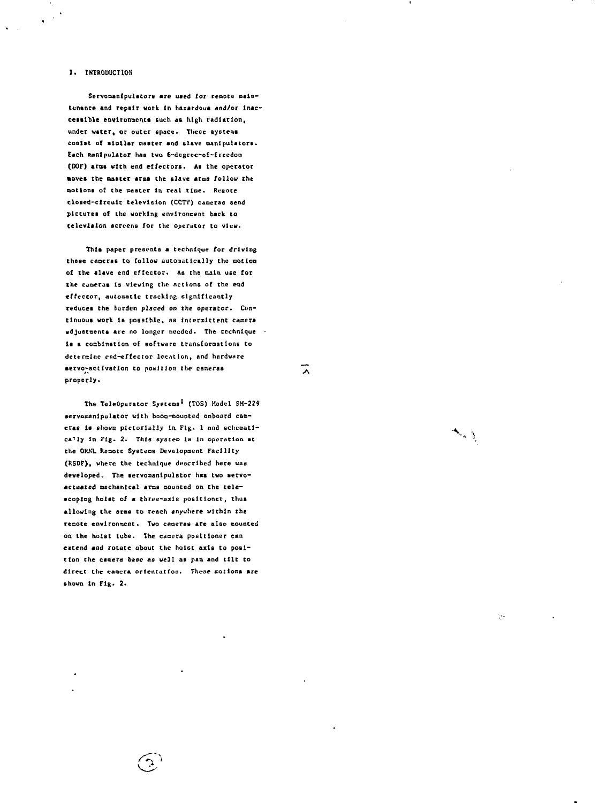### **1. INTRODUCTION**

 $\ddot{\phantom{1}}$ 

**Servomanipulators are used for remote nalntenance and repair work In hazardous and/or lnac~** cessible environments such as high radiation, **under water, or outer space. Tlieee systems conlst of similar master and slave manipulators. Each manipulator has two 6-degree-of-frecdoa (OOF) eras vlth end effectors. As the operator moves the oaster arms the slave arms follow the notions of the caster In real time. Rt-cote closed-circuit television (CCTV) cameras send pictures of the working environment back to television screens for the operator to view.**

**This paper presents a technique for driving these cameras to follow automatically the motion of the slave end effector. As the naln use for the camerat 1B viewing the actions of the cad effector, Automatic tracking significantly reduces the burden placed on the operator. Continuous work la poaatble, ns intermittent camera adjustments are no longer needed. The technique • la a cocbination oE software transforoattone to determine end-effector location, and hardware**  $setvo$ <sup>\*</sup>activation to position the cameras **properly >**

**The TeleOperator Systems<sup>1</sup> (TOS) Model SH-2Z9** servomanipulator with boom-mounted onboard cameras is shown pictorially in Fig. 1 and schemati**cally In Pig. 2. This eyeceo Is In operation at the OKKL Remote Systems Development Facility (RSDF), where the technique described here waa** developed. The servomanipulator has two servoactuated mechanical arms mounted on the tele**scoping hoist of a three-axis positioner, thus allowing the arms to reach anywhere within the reoote environment. Two cameras are also counted on the hoist tube. The camera positioner can extend mad rotate about the hoist axis to position the camera base as well as pan and tilt to** direct the camera orientation. These motions are **shown In Fig. 2\***

 $\mathcal{L}$ 

`∧

 $\mathcal{L}_{\rm{max}}$ 

Ų.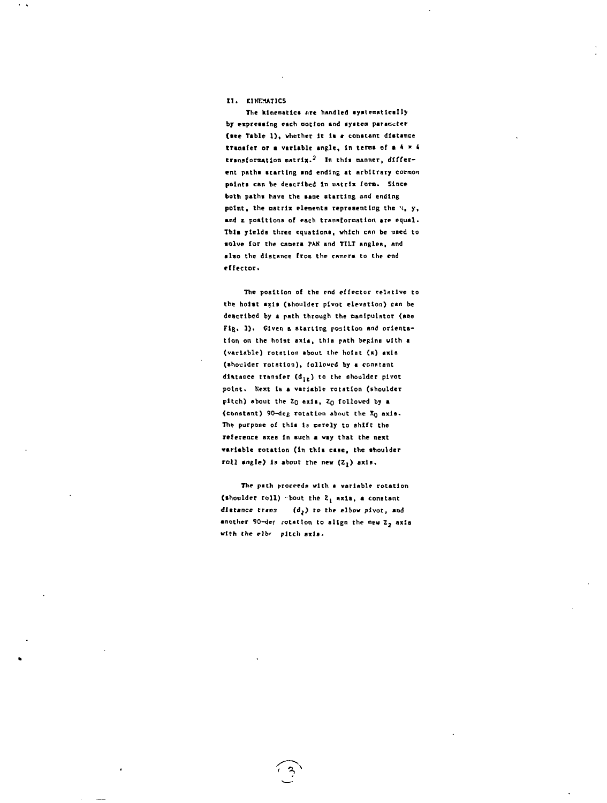### **II. KINEMATICS**

The kinematics are handled systematically **by expressing each notion and systcn parameter (•ee Table 1) , whether It it \* constant distance transfer or a variable angle, in tenas of a 4 » 4 transformation matrix.<sup>2</sup> In this Banner, different paths starting and ending at arbitrary common points can be described In »«trix fora. Since both pathi have the same starting end ending point, the matrix elements representing the \*c, y, and z positions of each transformation are equal. This yields three equations, which enn be used to** solve for the camera PAN and TILT angles, and **also the distance from the camera to the end effector.**

**The position of the end effector relative to the hoist axis (shoulder pivot elevation) can be described by a path through the oanlpulntor (see** Fig. 3). Given a starting position and orienta**tion on the hoist axis, this path begins with a (variable) rotation about the hotat (x) axis (shoulder rotation), followed by a constant distance transfer (d^ ) to the shoulder pivot** point. Next is a variable rotation (shoulder pitch) about the Z<sub>0</sub> axis, Z<sub>0</sub> followed by a (constant) 90-deg rotation about the X<sub>O</sub> axia. The purpose of this is merely to shift the **reference axes In such a way that the next variable rotation (in this case, the shoulder roll angle) is about the new (Zj) axis.**

The path proceeds with a variable rotation **(shoulder roll) \* bout the 2^ axla, a constant** distance trans (d<sub>2</sub>) to the elbow pivot, and another 90-def rotation to align the new Z<sub>2</sub> axis **with the elbr pitch axis.**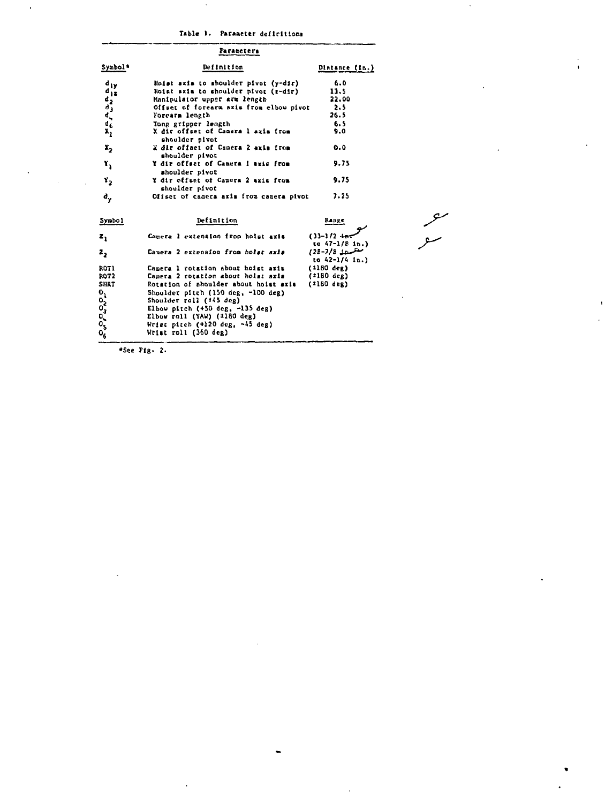## **Table >• Parameter dcflrltloni**

|                     | Parancters                                           |                |
|---------------------|------------------------------------------------------|----------------|
| Symbol <sup>*</sup> | Definition                                           | Distance (in.) |
| diy                 | Hoist axis to shoulder pivot (y-dir)                 | 6.0            |
| $a_{12}$            | Hoist axis to shoulder pivot (g-dir)                 | 11.5           |
|                     | Manipulator upper arm length                         | 22.00          |
|                     | Offset of forearm axis from elbow pivot              | 2.5            |
|                     | Forcarm length                                       | 26.5           |
| きょうちょう              | Tong gripper length                                  | 6.5            |
| x,                  | X dir offset of Camera 1 axis from<br>shoulder pivot | 9.0            |
| $\mathbf{x}_{2}$    | 2 dir offset of Camera 2 axis from<br>shoulder pivot | 0.0            |
| ۲,                  | Y dir offset of Camera I axis from<br>shoulder pivot | 9.75           |
| ٧,                  | Y dir offset of Camera 2 axis from<br>shoulder pivot | 9.75           |
| d.,                 | Offset of camera aris from camera pivot              | 7.25           |
| Symbo)              | Definition                                           | Капде          |

| z,                                     | Camera 1 extension from holat aris                                                                                                                                                                                                                                                                                            | $(33 - 1/2 + m)$<br>to $47-1/8$ in.)             |
|----------------------------------------|-------------------------------------------------------------------------------------------------------------------------------------------------------------------------------------------------------------------------------------------------------------------------------------------------------------------------------|--------------------------------------------------|
| 2,                                     | Camera 2 extension from holat axis                                                                                                                                                                                                                                                                                            | متلمن 1/8-213)<br>to $42-1/4$ in.)               |
| ROT1<br>ROT2<br><b>SHRT</b><br>೦೦೦೦೦೦೦ | Camera 1 rotation about hoist aris<br>Camera 2 rotation about hoist axis<br>Rotation of shoulder about hoist axis<br>Shoulder pitch (150 deg, -100 deg)<br>Shoulder roll (245 deg)<br>Elbow pitch $(+50$ deg, $-135$ deg)<br>Elbow roll (YAW) $(1180 \text{ deg})$<br>Wrist pitch (+120 deg, -45 deg)<br>Wrist roll (360 deg) | $(1180 \text{ deg})$<br>(*180 deg)<br>(1180 deg) |

مسحر<br>سو

**•See Fig. 2.**

 $\ddot{\phantom{a}}$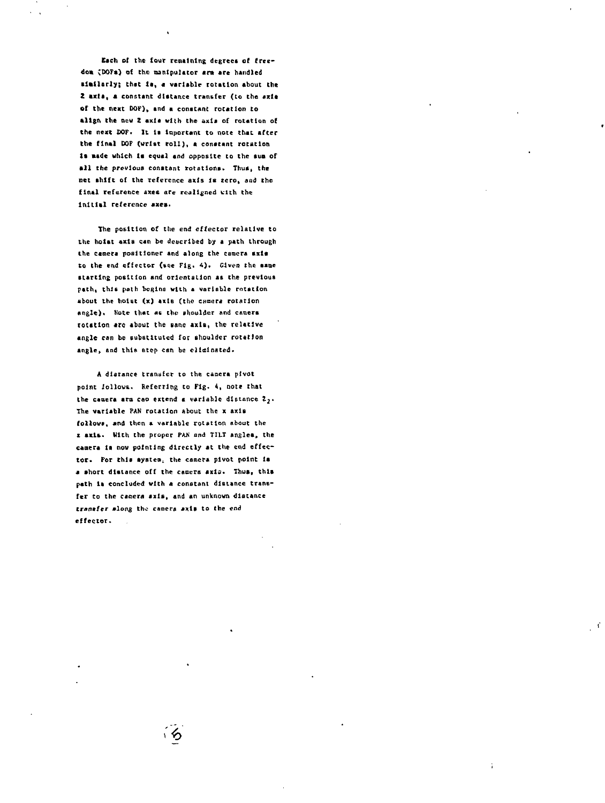**Each of the four remaining degrees of freedom <DOFs) of the manipulator a m arc handled •latlarly; that la, \* variable rotation about the** Z *axia*, a constant distance transfer (to the axie **of the next DOF)» and a constant rotation to align the new Z axis with the axia of rotation of the next UOF. It la Important to note that after the final DOF (wrist roil), a constant rotation** is made which is equal and opposite to the sum of all the previous constant rotations. Thus, the **net shift of the reference axis Is zero, aud the final reference axes are realigned with the** initial reference axes.

**The position of the end effector relative to the hoist axia can be described by a path through the camera positioner and along the camera axle to the end effector (see Fig. 4). Given the same starting position and orientation as the previous path, this path begins with a variable rotation about the hoist (x) axis (the camera rotation angle)\* Note that as the shoulder and caoers** rotation arc about the same axis, the relative **angle can be substituted for shoulder rotation angle, and this ntcp can be eliminated.**

**A distance tranufer to the caoera pivot point iollovs. Referring to Fig. 4, note that the camera arm can extend « variable distance Z2\* The variable PAN rotation About the x axis** follows, and then a variable rotation about the **x axis- With the proper PAN and TILT angles, the camera li now pointing directly at the end effec**tor. For this system<sub>:</sub> the camera pivot point is **a short distance off the camera axia. Thus, this path Is concluded vlth a constant distance transfer to the caaera axis, and an unknown distance transfer along the camera axis to the end effector.**

∽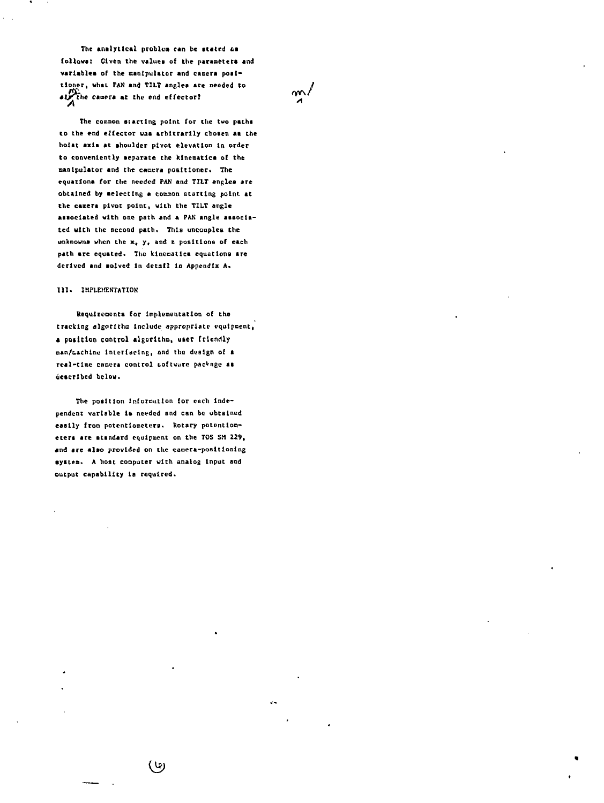**The analytical problua ran be stated us follows; Given the values of the parameters and variables of the ssnlpulator and camera positioner, what PAN snd TILT angles are needed to /** at the camera at the end effector?

**The coouaon starting point for the two paths to the end effector was arbitrarily chosen as the hoist axla at ahouldcr pivot elevation In order to conveniently separate the kinematics of the manipulator and the camera positioner. The equations for the needed PAN and TILT angles are obtained by aelectlng a common starting point, at the camera pivot point, with the TILT angle associated with one path and a PAN angle associated with the Becond path. This uncouples the unknowns when the xt y, and x positions of each path are equated. The kinematics equations are derived and solved In detail In Appendix A.**

### **III. IMPLEMENTATION**

**Requirements for Implementation of the tracking algorithm Include appropriate equipment, a position control algorithm, user friendly nan/&\*chinu Interfacing, and the dosign of s real-time camera control software package as described below.**

**The position Information for each independent variable Is needed and can be obtained easily from potentiometers. Rotary potentiometers are atandard equipment on the TOS SM 229, and are also provided on the camera-positioning system. A host computer with analog Input and output capability la required.**

(ખ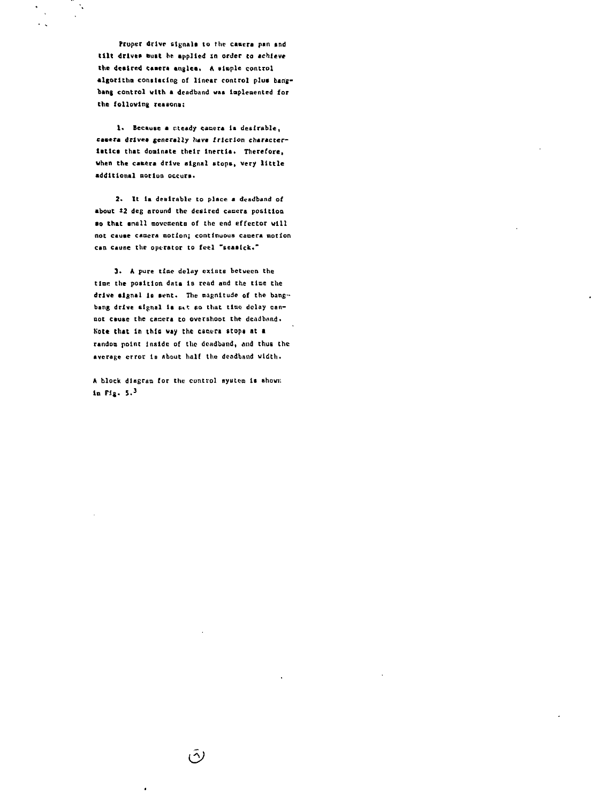Propet drive signals to the camera pan and tilt drives must be applied in order to achieve the desired camera angles. A simple control algorithm constacing of linear control plus bangbang control with a deadband was implemented for the following reasons:

 $\ddot{\phantom{a}}$ 

1. Because a steady canera is desirable, cameta drives generally have friction characteristics that dominate their inertia. Therefore, when the camera drive signal stops, very little additional morion occurs.

2. It is desirable to place a deadband of about #2 deg around the desired camera position so that small movements of the end effector will not cause camera motion; continuous camera motion can cause the operator to feel "seasick."

3. A pure time delay exists between the time the position data is read and the time the drive signal is sent. The magnitude of the bangbang drive signal is set so that time delay cannot cause the canera to overshoot the deadband. Note that in this way the canera stops at a random point inside of the deadband, and thus the average error is about half the deadband width.

A block disgram for the control system is shown: in Fig.  $5.3$ 

رتی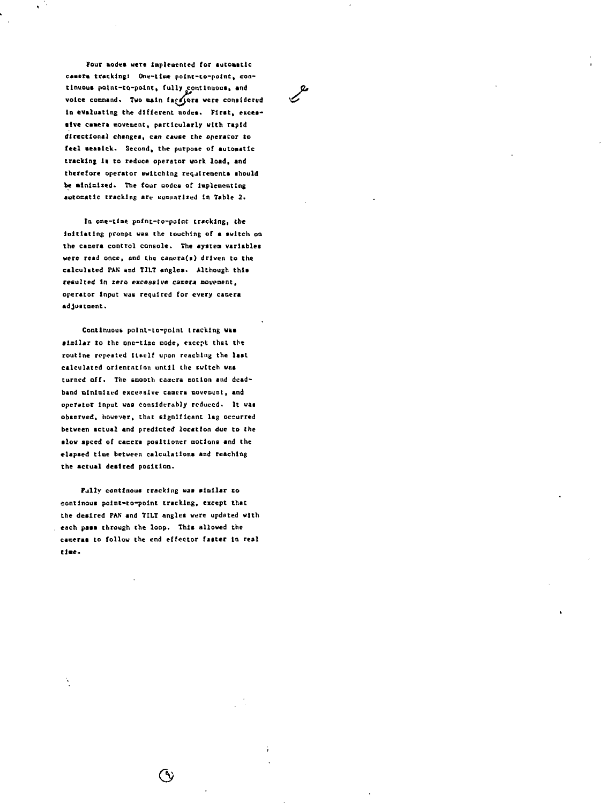Four modes were implemented for automatic camera tracking: One-time point-to-point, con**tinuous potnt-co-point, fully continuous, and Q>** voice command. Two main facesors were considered in evaluating the different modes. First, exces**sive camera movement, particularly with rapid directional changes, can cause the operator to feel seasick,\* Second, the purpose of automatic tracking Is to reduce operator work load, and therefore operator switching requirements should** be ainimized. The four modes of implementing **automatic tracking are Kunmarlied In Table 2.**

**la one-time point-to-point tracking, the Initiating proapt was the touching of a switch on the camera control console. The system variables were read once, and the canera(s) driven to the calculated PAN and TILT angles. Although this** resulted in zero excessive camera movement, **operator Input was required for every camera adjustment.**

**Continuous point-to-point tracking was •lollar to the one-time node, except that the** routine repeated itself upon reaching the last **calculated orientation until the switch w«s** turned off. The smooth camera motion and dead**band alnlaltrd executive camera ooveocnt, and operator Input was considerably reduced\* It was observed, however, that significant lag occurred between actual and predicted location due to the slow speed of camera positioner motions and the elapaed time between calculations and reaching the actual desired position.**

**Fjlly contlnous tracking was sinllar to sontlnous point-to-point tracking, except that the desired PAN and TILT angles were updated with each pass through the loop. This allowed the cameras to follow the end effector faster la real ti.e.**

(V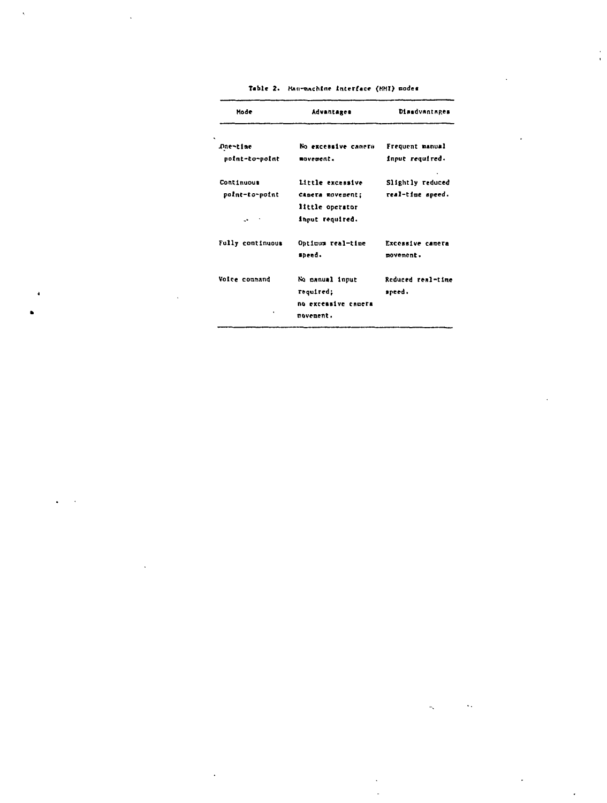| Mode              | Advantages          | Disadvantages     |  |  |
|-------------------|---------------------|-------------------|--|--|
| Due-time          | No excessive camera | Frequent manual   |  |  |
| point-to-point    | mavement.           | input required.   |  |  |
| <b>Continuous</b> | Little excessive    | Slightly reduced  |  |  |
| point-to-point    | Camera movement;    | real-time speed.  |  |  |
|                   | little operator     |                   |  |  |
|                   | input required.     |                   |  |  |
| Fully continuous  | Opticum real-time   | Excessive camera  |  |  |
|                   | sneed.              | movement.         |  |  |
| Voice coupand     | No canual input     | Reduced real-time |  |  |
|                   | required;           | speed.            |  |  |
|                   | no excensive camera |                   |  |  |
| ٠                 | novenent.           |                   |  |  |

 $\ddotsc$ 

Ä,

Table 2. Hau-machine interface (HHI) modes

 $\overline{a}$ 

Ä

 $\ddot{\phantom{a}}$ 

 $\Delta$ 

 $\ddot{\phantom{a}}$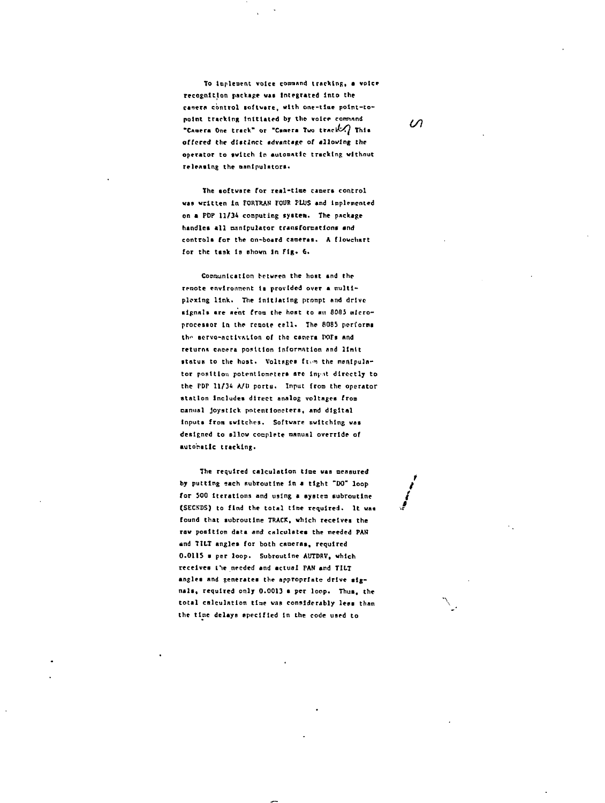**To Icpleacnt voice command tracking, a voice recognition package was Integrated into the camera control software, with one-llae point-to**point tracking initiated by the voice command  $\mathcal{U}$ **"Chopra One track" or "Caaera Two tt^c\h^f This offered the dUtlncC advantage of allowing the** operator to switch in automatic tracking without **retracing the oanlpulators.**

**The software for real-time camera control vas written In FORTRAN FOUR PLUS and implemented on a PDP 11/34 computing system. The package handles all oanlpulator transformations and** controls for the on-board cameras. A flowchart for the task is shown in Fig. 6.

**Connunlcation between the host and the rrnote envtronnont ii provided over a tnultl**plexing link. The initiating prompt and drive signals are sent from the host to an 8085 micro**processor tn the rcmotf cell. The 6085 perform** the servo-activation of the camers **POFs** and **return\* caopra position lnfornntion nnd Unit**  $\text{status to the host.}$  Voltages from the manipula**tor position potentiometers sre tny it directly to the rDP 11/34 A/U ports. Input from the operator station Includes direct analog voltages from nanual joystick potent 1onetera, and digital Inputs froa switches. Software switching was designed to allow cooplete manual override of automatic tracking.**

**The required calculation tine was neaaured** by putting each subroutine in a tight "DO" loop for 500 iterations and using a system subroutine (SECNDS) to find the total time required. It was **found that subroutine TRACK, which receives the row position data and calculates the needed PAN And TILT angles for both caoeras, required** 0.0115 a per loop. Subroutine AUTDRV, which **receives t\*ie needed and actual FAN and TILT angles and generates the appropriate drive signals, required only 0.0013 • per loop. Thus, the total calculation tlae was considerably less than \ the time delays specified In the code used to**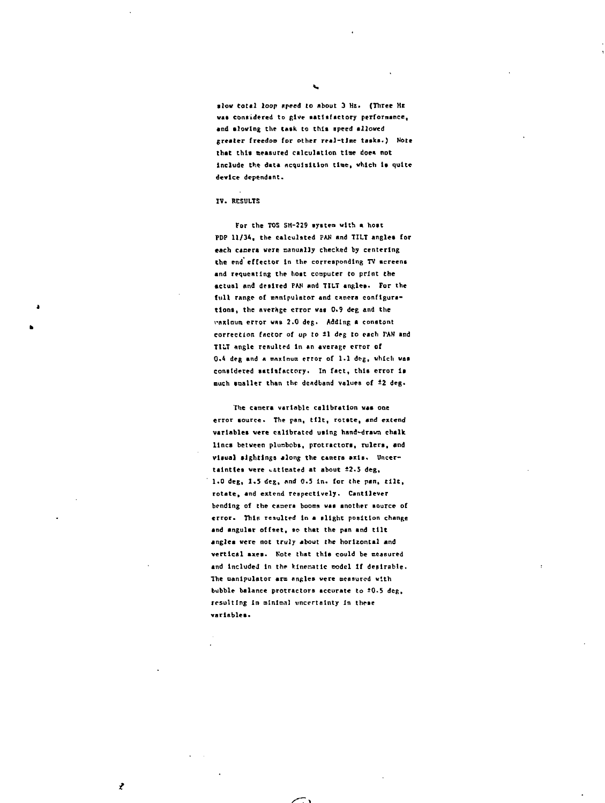**•lov total loop speed to about 3 Hz. (Three HE was considered to give satisfactory performance, «nd Blowing Che tAsk to this speed allowed greater freedos (or other real-time tasks.) Note that this saeasured calculation tise doe\* not** include the data acquisition time, which is quite **device dependant.**

#### **IV. RESULTS**

J.

ż

**For the TOS SH-229 system with a host PDP 11/34, the calculated PAN and TILT angles for each caaera were manually checked by centering Che end effector In the corresponding TV screens** and requesting the hoat computer to print the **Actual and desired PAN and TILT angles. For the full range of enntpulator and cnocra configurations, the Average error vat 0.9 deg and the vaxlaum error wne 2.0 deg\* Adding a conatont** correction factor of up to 11 deg to each PAN and **TILT angle resulted In an average error of** 0.4 deg and a maxinum error of 1.1 deg, which was **considered satisfactory. In fact, this error Is** much smaller than the deadband values of #2 deg.

The camera variable calibration was one **error source. The pan, ttlt, rotate, and extend variables vere calibrated using hand-drawn chalk lines between plunbobs, protractors, rulers, and** visual sightings along the camera axis. Uncer**tainties were \*.6tlcated at about ±2.5 deg, 1\*0 deg, l.S deg, And 0.5 In. for Che pan, tilt, rotate, and extend respectively. Cantilever bending of the caoera booms was another source of error. This resulted in a slight position change and angular offset, so that the pan and tilt angles were not truly about the horizontal and vertical axes. Note that this could be measured** and included in the kinenatic podel if desirable. The panipulator arm angles were measured with bubble balance protractors accurate to 20.5 deg, resulting in minimal uncertainty in these **variables\***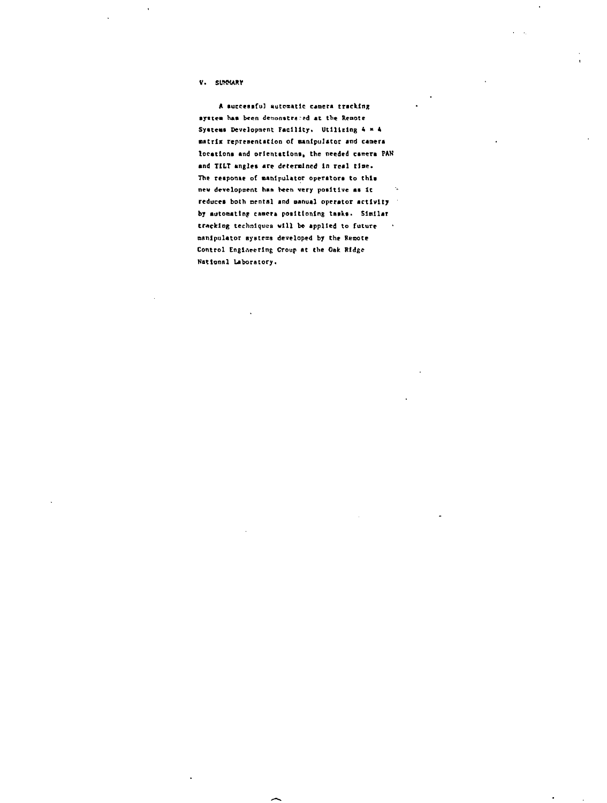**V.** SUNNARY

**A successful nutoaatic canera tracking ayitea has been denonstra red at the Remote Syateaa Development Facility. Utilizing 4\* 4 matrix representation of manipulator and canera** locations and orientations, the needed camera PAN **and TILT angles are determined in real tlae.** The response of manipulator operators to this **new development han been very poaltlve as It** reduces both mental and manual operator activity **by automating canon positioning tusks• Similar trAcklag techniques will be applied to future**  $\sim$ **manipulator ayntems developed by the Remote Control Engineering Croup at the Oak Ridge National Laboratory.**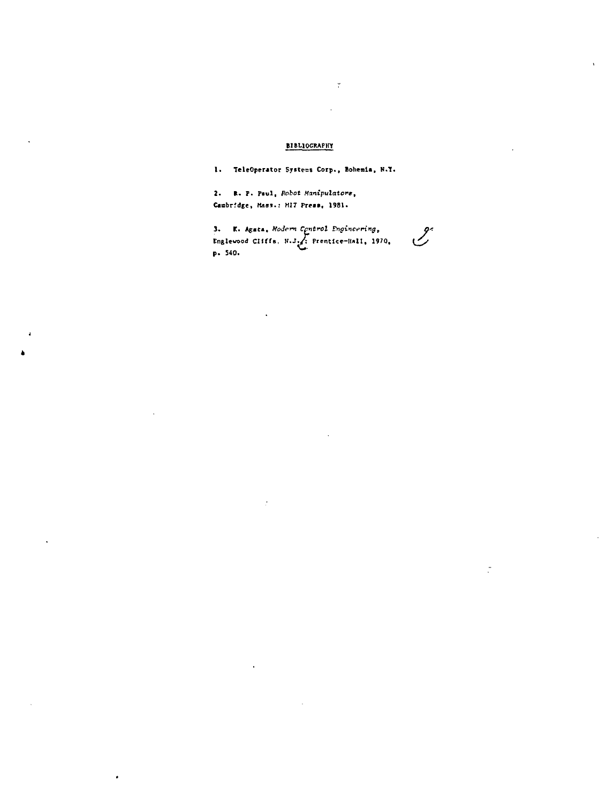# **BIBLIOGRAPHY**

 $\ddot{\cdot}$ 

1. TeleOperator Systems Corp., Bohemia, N.Y.

2. R. P. Paul, Robot Manipulators, Cambridge, Mass.: MIT Press, 1981.

3. K. Agata, Hodern Centrol Engineering,<br>Englevood CIIffs. N.J. Prentice-Hall, 1970,<br>p. 540.  $\mathscr{L}$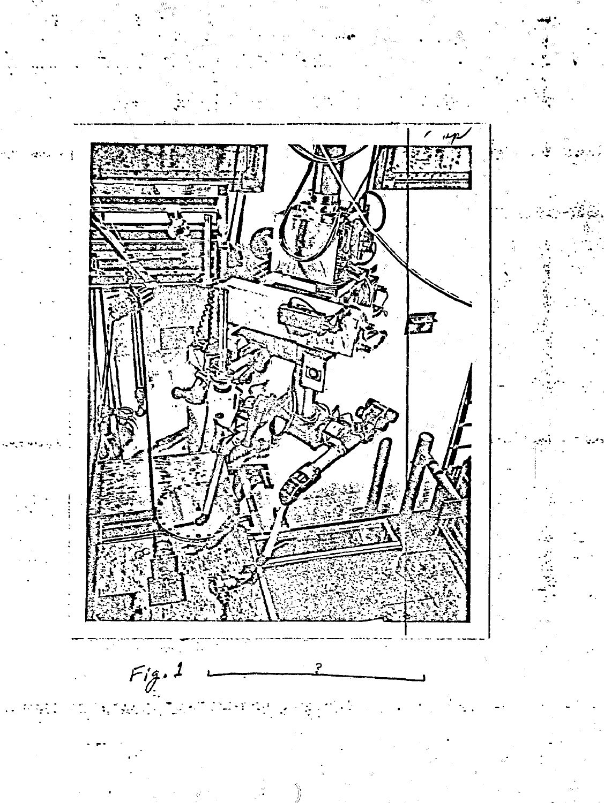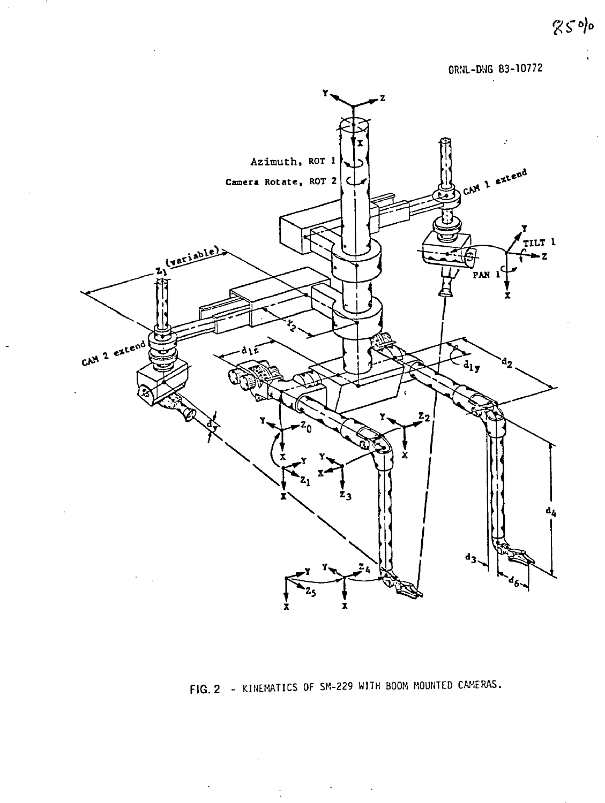**ORNL-DUG 83-10772**



**FIG. 2 - KINEMATICS OF SM-229 WITH BOOH MOUNTED CAMERAS.**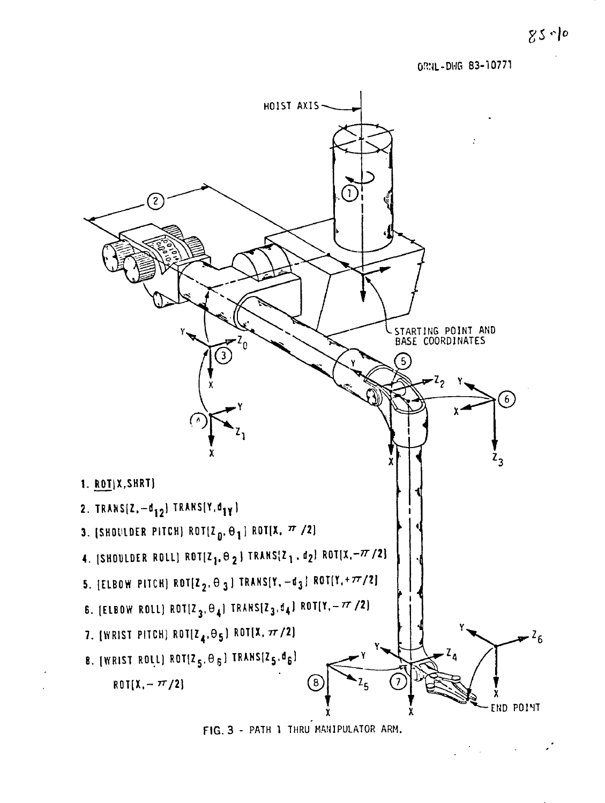OWL-DUG 83-10771



**FIG. 3 - PATH 1 THRU MANIPULATOR ARM.**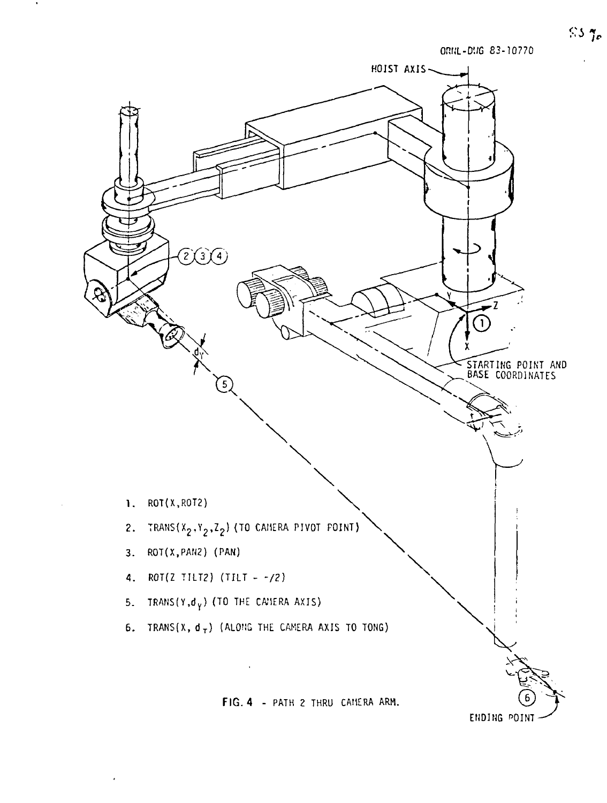

 $\hat{\mathcal{L}}$ 

 $S3.7c$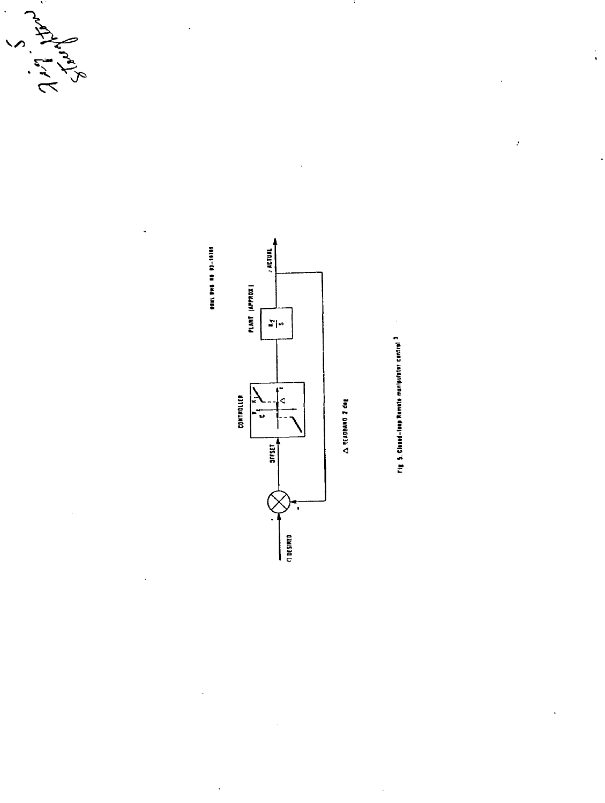



 $\ddot{\phantom{0}}$ 



Fig. 9. Classed-leap Remain manipulater central <sup>3</sup>

 $\ddot{\phantom{1}}$ 

 $\frac{1}{4}$ 

 $\boldsymbol{\cdot}$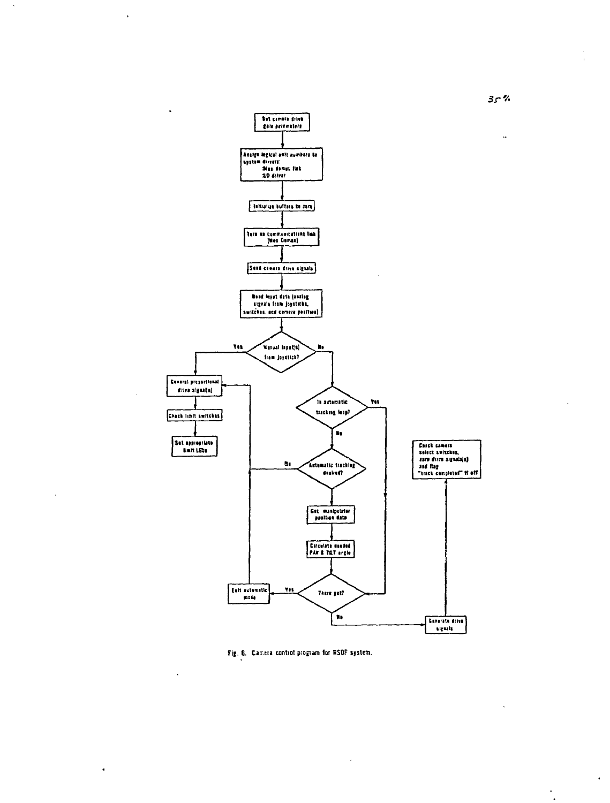



 $3 - 7$ 

 $\ddot{\phantom{0}}$ 

 $\cdot$  $\ddot{\phantom{0}}$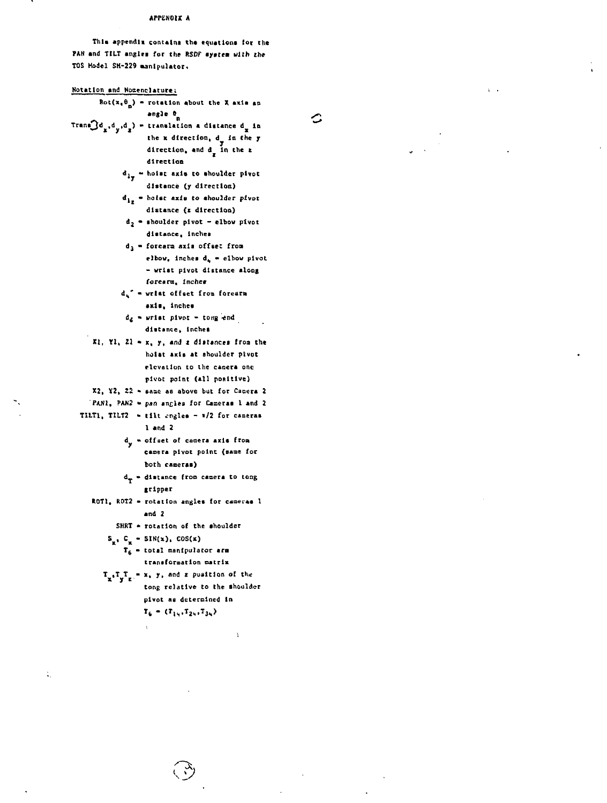## APPENDIX A

This appendix contains the equations for the FAN and TILT angles for the RSDF system with the TOS Model SM-229 manipulator.

l,  $\ddot{\phantom{a}}$ 

 $\mathcal{L}_{\mathcal{A}}$ 

 $\cdot$ 

 $\sqrt{2}$ 

 $\ddot{\phantom{a}}$ 

| Notation and Nomenclature;                                                                                                                        |  |
|---------------------------------------------------------------------------------------------------------------------------------------------------|--|
| $Rot(x_1 \theta_n)$ = rotation about the X axis an                                                                                                |  |
| angle <sup>8</sup>                                                                                                                                |  |
| $\texttt{Trans3d}_x, d_y, d_z) = \texttt{translation a distance } d_x \texttt{ in}$                                                               |  |
| the x direction, $d_y$ in the y                                                                                                                   |  |
| direction, and $d_g$ in the $x$                                                                                                                   |  |
| direction                                                                                                                                         |  |
| $d_{1\phi}$ = hoist axis to shoulder pivot                                                                                                        |  |
| distance (y direction)                                                                                                                            |  |
| $d_{1x}$ = holst axis to shoulder pivot                                                                                                           |  |
| distance (z direction)                                                                                                                            |  |
| $d_2$ = shoulder pivot - elbow pivot                                                                                                              |  |
| distance, inches                                                                                                                                  |  |
| d <sub>3</sub> - forearm axis offset from                                                                                                         |  |
| elbow, inches d, = elbow pivot                                                                                                                    |  |
| - wrist pivot distance along                                                                                                                      |  |
| forearm, inches                                                                                                                                   |  |
| d. - wrist offset from forearn                                                                                                                    |  |
| axis, inches                                                                                                                                      |  |
| $d_E$ = wrist pivor = tong end                                                                                                                    |  |
| distance, inches                                                                                                                                  |  |
| $x_1, y_1, z_2 - x, y,$ and z distances from the                                                                                                  |  |
| holat axis at shoulder plvot                                                                                                                      |  |
| elevation to the camera one                                                                                                                       |  |
| pivot point (all positive)                                                                                                                        |  |
| X2, Y2, Z2 - same as above but for Camera 2                                                                                                       |  |
| PAN1, PAN2 - pan angles for Cameras 1 and 2                                                                                                       |  |
| TILT1, TILT2 = tilt engles - 1/2 for cameras                                                                                                      |  |
| 1 and 2                                                                                                                                           |  |
| d <sub>y</sub> = offset of camera axis from                                                                                                       |  |
| camera pivot point (same for                                                                                                                      |  |
| both cameras)                                                                                                                                     |  |
| $d_T =$ distance from camera to tong                                                                                                              |  |
| gripper                                                                                                                                           |  |
| ROTI, ROT2 - rotation angles for cameras 1<br>and 2                                                                                               |  |
|                                                                                                                                                   |  |
| SHRT - rotation of the shoulder                                                                                                                   |  |
| $S_n$ , $C_n - SIN(x)$ , $COS(x)$<br>T <sub>6</sub> - total manipulator arm                                                                       |  |
| transformation matrix                                                                                                                             |  |
|                                                                                                                                                   |  |
| $T_{\mathbf{x}^*}T_{\mathbf{y}^*T_{\mathbf{z}^*}} = \mathbf{x}_*, \mathbf{y}_*$ and $\mathbf{z}$ pusition of the<br>tong relative to the shoulder |  |
| pivot as determined in                                                                                                                            |  |
| $T_6 = (T_{14}, T_{24}, T_{34})$                                                                                                                  |  |
|                                                                                                                                                   |  |
| ï                                                                                                                                                 |  |
|                                                                                                                                                   |  |

 $\ddot{\phantom{a}}$ 

ù.

 $\mathcal{A}^{\mathcal{A}}$ 

 $\ddot{\phantom{a}}$ 

 $\mathcal{L}_\mathrm{c}$ 

 $\ddot{\phantom{0}}$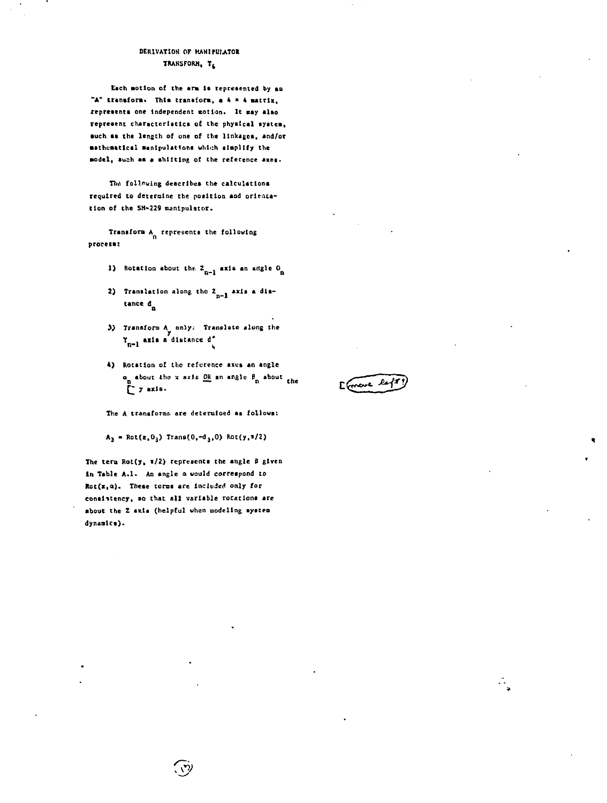## DERIVATION OF HANIPULATOR TRANSFORM, TE

Each motion of the arm is represented by an "A" transform. This transform, a 4 x 4 matrix, represents one independent motion. It may also represent characteristics of the physical system, such as the length of one of the linkages, and/or mathematical manipulations which simplify the model, auch as a shifting of the reference axes.

The following describes the calculations required to determine the position and orientation of the SH-229 manipulator.

Transform A represents the following process:

- 1) Rotation about the  $2_{n-1}$  axis an angle  $0_n$
- 2) Translation along the  $z_{n-1}$  axis a distance d
- 3) Transform A only: Translate along the<br>  $Y_{n-1}$  axis a distance  $d'$
- 4) Rotation of the reference axes an angle a about the x sxis OR an angle  $\beta_n$  about the

The A transforms are determined as follows:

 $A_3 = Rot(z, 0_3)$  Trans(0,-d<sub>3</sub>,0) Rot(y,\*/2)

The term Rot(y,  $x/2$ ) represents the angle  $\beta$  given in Table A.1. An angle a would correspond to Rot(x,a). These terms are included only for consistency, so that all variable rotations are about the Z axia (helpful when modeling system dynamics).

Efranc le

÷,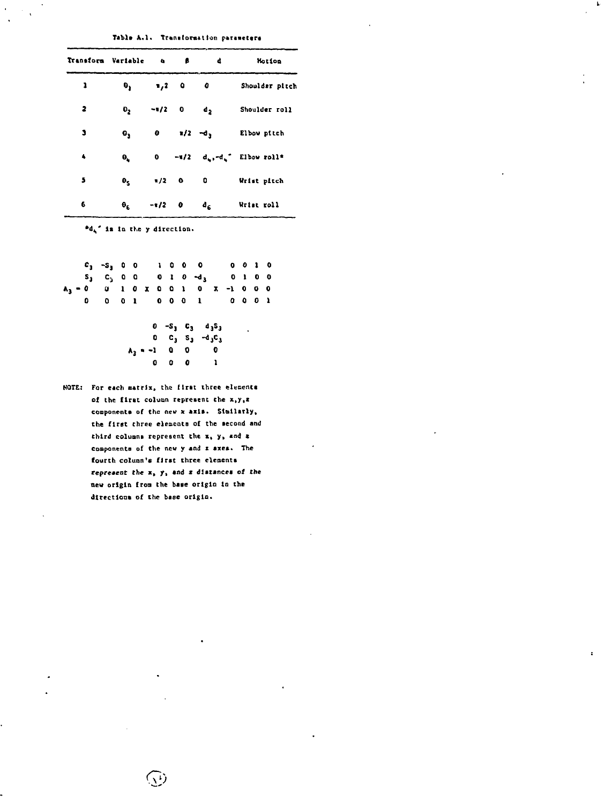### Table A.1. Transformation parameters

Ļ.

 $\ddot{\phantom{a}}$ 

| Transform Variable Q B |                               |          |                         | đ                         | Motion                                                 |
|------------------------|-------------------------------|----------|-------------------------|---------------------------|--------------------------------------------------------|
| ı                      | θ,                            | $1,2$ 0  |                         | o                         | Shoulder pitch                                         |
| 2                      | $\mathbf{0}_2$                |          | $-1/2$ 0 d <sub>2</sub> |                           | Shoulder roll                                          |
| J                      | $\mathbf{e}_3$                |          | $0 \t x/2 \t -d_3$      |                           | Elbow pitch                                            |
| $\clubsuit$            | $\pmb{\Theta}_{\pmb{\omega}}$ |          |                         |                           | $0$ -1/2 $d_{\mathbf{k}}, -d_{\mathbf{k}}$ Elbow roll* |
| 5                      | $\pmb{\theta}_{\pmb{\zeta}}$  |          | $x/2$ 0 0               |                           | Wrist pitch                                            |
| 6                      | $\theta_{\rm K}$              | $-1/2$ 0 |                         | $\mathbf{d}_{\mathbf{g}}$ | Wrist roll                                             |

 $^{\bullet}d_{\mathbf{q}}$ " is in the y direction.

|  | $C_3 - S_3 = 0$                      |  |  |  | 1000 |           | $0 \t0 \t1 \t0$ |  |  |
|--|--------------------------------------|--|--|--|------|-----------|-----------------|--|--|
|  | $S_3$ $C_3$ 000010 $-d_3$            |  |  |  |      | $0 1 0 0$ |                 |  |  |
|  | $A_3 = 0$ 0 1 0 x 0 0 1 0 x -1 0 0 0 |  |  |  |      |           |                 |  |  |
|  | 0 0 0 1 0 0 0 1 0 0 0 1              |  |  |  |      |           |                 |  |  |

$$
0 - S_3 C_3 d_3S_3
$$
  
\n
$$
0 C_3 S_3 - d_3C_3
$$
  
\n
$$
A_3 = -1 0 0 0 0
$$
  
\n
$$
0 0 0 1
$$

NOTE: For each matrix, the first three elements of the first column represent the x, y, r components of the new x axis. Similarly, the first three elements of the second and third columns represent the  $x$ ,  $y$ , and  $z$ components of the new y and z axes. The fourth column's first three elements represent the x, y, and z distances of the new origin from the base origin in the directions of the base origin.

 $\overline{\mathbb{Q}}$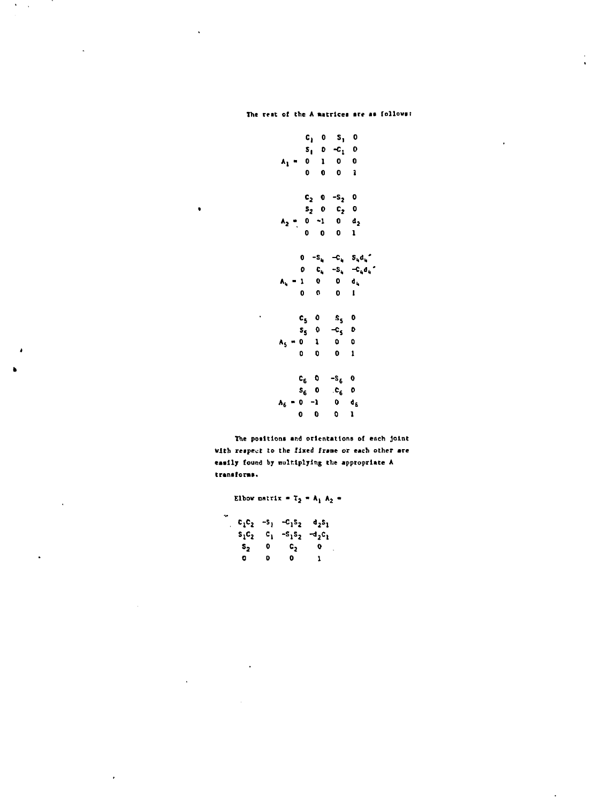$\ddot{\phantom{a}}$  $\ddot{\phantom{a}}$ 

 $\bullet$ 

The positions and orientations of each joint with respect to the fixed frame or each other are easily found by multiplying the appropriate A transforms.

Elbow matrix =  $T_2 = A_1 A_2 =$  $c_1c_2$  -s<sub>1</sub> -c<sub>1</sub>s<sub>2</sub>  $d_2s_1$  $s_1c_2$   $c_1$   $-s_1s_2$   $d_2c_1$  $\begin{array}{ccc} S_2 & 0 \\ 0 & 0 \end{array}$  $c_2$  o  $\bullet$  $\mathbf{I}$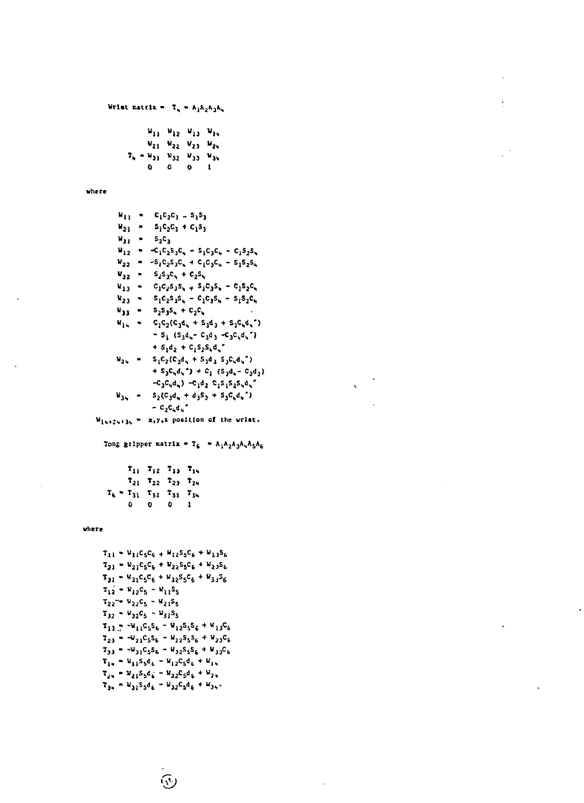```
Wrist matrix = T_{ij} = K_1 K_2 K_3 K_4
```
Ţ

|   |   | $W_{13} = W_{12} = W_{13} = W_{34}$         |   |
|---|---|---------------------------------------------|---|
|   |   | W21 W22 W23 W24                             |   |
|   |   | $T_{4} = W_{31} - W_{32} - W_{33} - W_{34}$ |   |
| û | ٥ | o                                           | 1 |

where

| 41 I              |   | $c_1c_2c_3 = s_1s_3$                                                                                                                            |
|-------------------|---|-------------------------------------------------------------------------------------------------------------------------------------------------|
| $W_{21}$          |   | $S_1C_2C_3 + C_1S_3$                                                                                                                            |
| $\mathbf{v}_{11}$ | ۰ | s-c,                                                                                                                                            |
| $\mathbf{u}_{12}$ | ۰ | $-C_1C_2S_3C_4 - S_1C_3C_4 - C_1S_2S_4$                                                                                                         |
| $v_{22}$          | ۰ | $-S_1C_2S_3C_4 + C_1C_3C_4 - S_1S_2S_4$                                                                                                         |
| $V_{32}$          | ٠ | $s_2s_3c_4+c_2s_6$                                                                                                                              |
| د ډ با            | ٠ | $C_1C_2S_3S_4 + S_1C_3S_4 - C_1S_2C_4$                                                                                                          |
| v <sub>23</sub>   | ٠ | $s_1c_2s_3s_4 - c_1c_3s_4 - s_1s_2c_4$                                                                                                          |
| v <sub>33</sub>   | ∍ | $s_2s_3s_4+c_2c_6$                                                                                                                              |
| $\mathbf{v}_{14}$ |   | $C_1C_2(C_3d_4 + S_3d_3 + S_3C_4d_4)$                                                                                                           |
|                   |   | $-S_1$ (S <sub>3</sub> d <sub>4</sub> - C <sub>3</sub> d <sub>3</sub> -C <sub>3</sub> C <sub>1</sub> d <sub>4</sub> ")                          |
|                   |   | $+ S_1 d_2 + C_1 S_2 S_1 d_2$                                                                                                                   |
| $\mathbf{w_{24}}$ |   | $S_1C_2(C_3d_1 + S_3d_3 S_3C_4d_1)$                                                                                                             |
|                   |   | + S <sub>3</sub> C <sub>4</sub> d <sub>4</sub> <sup>-</sup> ) + C <sub>3</sub> (S <sub>3</sub> d <sub>4</sub> - C <sub>3</sub> d <sub>3</sub> ) |
|                   |   | $-C_3C_4d_4$ ) $-C_1d_2$ $C_1S_1S_2S_4d_4$                                                                                                      |
| $v_{34}$          |   | $S_2(C_3d_4 + d_3S_3 + S_3C_4d_4)$                                                                                                              |
|                   |   | ∽ C <sub>2</sub> C <sub>4</sub> d, "                                                                                                            |
|                   |   | .                                                                                                                                               |

 $\bar{\mathbf{v}}$ 

 $W_{14}, 24, 34 = X_5Y_3Z$  position of the wrist.

Tong gripper matrix =  $T_6$  =  $A_1A_2A_3A_4A_5A_6$ 

|  |   | $T_{11}$ , $T_{12}$ , $T_{13}$ , $T_{14}$   |    |              |
|--|---|---------------------------------------------|----|--------------|
|  |   | $T_{21}$ $T_{22}$ $T_{23}$ $T_{24}$         |    |              |
|  |   | $T_6$ = $T_{31}$ $T_{32}$ $T_{33}$ $T_{34}$ |    |              |
|  | ۵ | $\mathbf{p}$                                | D. | $\mathbf{1}$ |

where

```
T_{11} - V_{11}C_5C_6 + V_{12}S_5C_6 + V_{13}S_6T_{21} = W_{21}C_5C_6 + W_{22}S_5C_6 + W_{23}S_6T_{31} - V_{31}C_5C_6 + V_{32}S_5C_6 + V_{33}S_6T_{12} - V_{12}C_5 - V_{11}S_5T_{22}^{\prime\prime} = W_{22}C_5 = W_{21}S_5T_{32} + W_{32}C_5 - W_{31}S_5T_{13.7} - V_{11}C_5S_6 - V_{12}S_5S_6 + V_{13}C_6T_{23} = -v_{21}c_5s_6 - v_{22}s_5s_6 + v_{23}c_6T_{33} = -W_{31}C_5S_6 = W_{32}S_5S_6 + W_{33}C_6\tau_{14} = u_{11} s_5 d_6 = u_{12} c_5 d_6 + u_{14}\mathbf{T}_{2u} = \mathbf{W}_{21} \mathbf{S}_5 \mathbf{d}_k^{\top} = \mathbf{W}_{22} \mathbf{C}_5 \mathbf{d}_k^{\top} + \mathbf{W}_{2u}T_{34} = H_{31}S_5d_6 = H_{32}C_5d_6 + H_{34}
```
 $\widehat{\mathbb{S}}$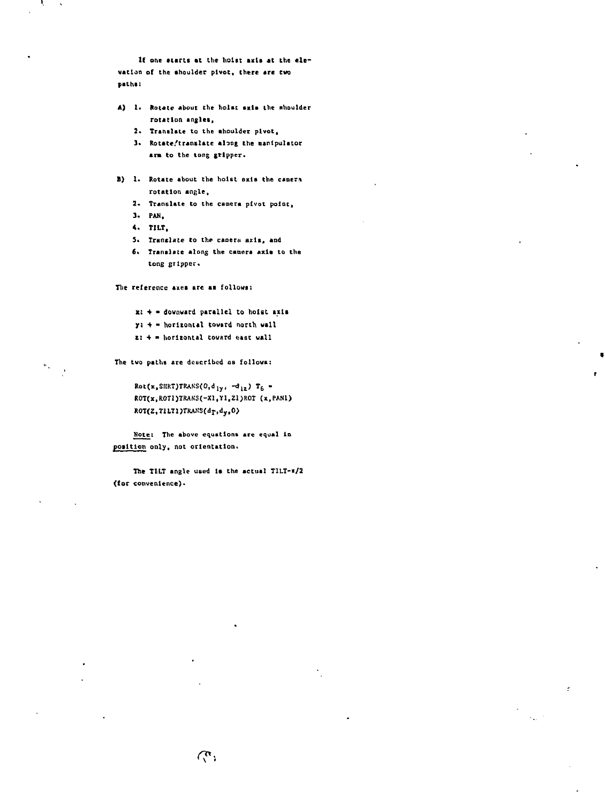If one starts at the hoist axis at the ele**vation of the shoulder pivot, there are two paths;**

- **A) !• Rotate about the hoist axis the nhoulder rotation angles,**
	- **2\* Translate to the shoulder pivot,**
	- **3\* Rotate/translate along the canlpulator** arm to the tong gripper.
- **B) 1. Rotate about the hoist axis the canern rotation angle,**
	- **2\* Translate to the camera pivot point,**
	- **3. PAN,**
	- **4. TILT,**

в,

 $\mathbf{w}_\infty$ 

- **5\* Translate to the camera axla, and**
- **6\* Translate along the camera axis to the** tong gripper.

The reference axes are as follows:

- **x: + downward parallel to hoist axts**
- **y: + horizontal toward north wall**
- **t: + horizontal toward cast wall**

**The two paths are described as follows:**

**Rot(x,SHRT)TRAKS(Ofdly) -d <sup>u</sup> ) T& - R0T(x,ROT2)TRAKS(-Xl,Yl(Zl)ROr (x.PANl) ROT(2,TlLTl)TRAKS(dr,dyt0)**

 $\mathbf{r}$ 

**Note: The above equations are equal ID position only, not orientation.**

**The TILT angle used la the actual TILT-i/2 ({or convenience)•**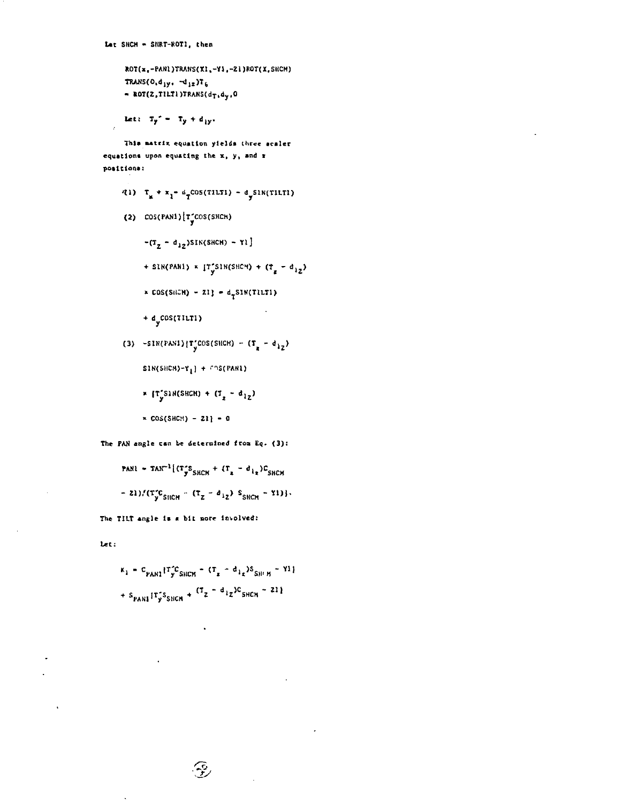ROT(x,-PANL)TRANS(XI,-YI,-ZI)ROT(X,SHCH) TRANS(0,d<sub>1y</sub>,  $\neg d_{12}$ )T<sub>6</sub>  $\sim$  ROT(Z, TILT) )TRANS( $d_T, d_y, 0$ 

Let:  $T_y' = T_y + d_{yy}$ .

 $\ddot{\phantom{a}}$ 

This matrix equation yields three scaler equations upon equating the x, y, and x positions:

- (1)  $\tau_x + x_1 a_T \cos(\tau)$ LTI)  $a_y \sin(\tau)$ LTI)
- (2)  $cos(PAN1)[T^2_{\psi}cos(SHCH)$ 
	- $-(T_{\rm g} d_{12})$ SIN(SHCH) Yl]
	- + SIN(PANI) \* [T\_SIN(SHCM) +  $(T_g d_{12})$
	- \* COS(SHCH) ZI] =  $d_{\uparrow}$ SIN(TILTI)
	- $+ d<sub>v</sub>$ cos(TILT1)
- (3)  $-SIN(PAN1)[T'_{\nu}COS(SICH) (T_{\nu} d_{12})$ 
	- $SINGBLEM-T_1$  +  $TNS(PARI)$
	- \*  $[T_y^{'S1N(SHCH)} + (T_z d_{1Z})$
	- $\times$  COS(SHCH) 21] 0

The PAN angle can be determined from Eq. (3):

**PARI** = 
$$
TR^{T-1}[(T_{y}^{*}S_{HCH} + (T_{z} - d_{1z})C_{SHCH}
$$
  
= 21)/(T\_{y}^{\*}C\_{HCH} - (T\_{z} - d\_{1z}) S\_{SHCH} - Y1)}

The TILT angle is a bit nore involved:

let:

$$
K_1 = C_{\text{PARI}} [T_{\text{y}}^{\text{T}} S_{\text{SICH}} - (T_{\text{z}} - d_{1\text{z}}) S_{\text{SHEM}} - Y1]
$$
  
+ S\_{\text{PANI}} [T\_{\text{y}}^{\text{T}} S\_{\text{SICH}} + (T\_{\text{z}} - d\_{1\text{z}}) C\_{\text{SHEM}} - 21]

 $\mathcal{F}$